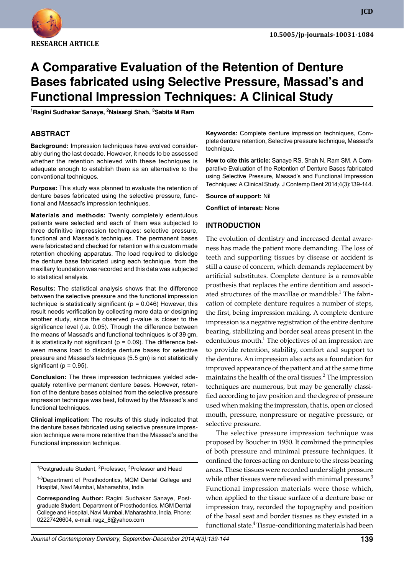

# **A Comparative Evaluation of the Retention of Denture Bases fabricated using Selective Pressure, Massad's and Functional Impression Techniques: A Clinical Study**

**<sup>1</sup>Ragini Sudhakar Sanaye, 2Naisargi Shah, 3Sabita M Ram**

#### **ABSTRACT**

**Background:** Impression techniques have evolved considerably during the last decade. However, it needs to be assessed whether the retention achieved with these techniques is adequate enough to establish them as an alternative to the conventional techniques.

**Purpose:** This study was planned to evaluate the retention of denture bases fabricated using the selective pressure, functional and Massad's impression techniques.

**Materials and methods:** Twenty completely edentulous patients were selected and each of them was subjected to three definitive impression techniques: selective pressure, functional and Massad's techniques. The permanent bases were fabricated and checked for retention with a custom made retention checking apparatus. The load required to dislodge the denture base fabricated using each technique, from the maxillary foundation was recorded and this data was subjected to statistical analysis.

**Results:** The statistical analysis shows that the difference between the selective pressure and the functional impression technique is statistically significant ( $p = 0.046$ ) However, this result needs verification by collecting more data or designing another study, since the observed p-value is closer to the significance level (i.e. 0.05). Though the difference between the means of Massad's and functional techniques is of 39 gm, it is statistically not significant ( $p = 0.09$ ). The difference between means load to dislodge denture bases for selective pressure and Massad's techniques (5.5 gm) is not statistically significant ( $p = 0.95$ ).

**Conclusion:** The three impression techniques yielded adequately retentive permanent denture bases. However, retention of the denture bases obtained from the selective pressure impression technique was best, followed by the Massad's and functional techniques.

**Clinical implication:** The results of this study indicated that the denture bases fabricated using selective pressure impression technique were more retentive than the Massad's and the Functional impression technique.

<sup>1</sup>Postgraduate Student, <sup>2</sup>Professor, <sup>3</sup>Professor and Head

1-3Department of Prosthodontics, MGM Dental College and Hospital, Navi Mumbai, Maharashtra, India

**Corresponding Author:** Ragini Sudhakar Sanaye, Postgraduate Student, Department of Prosthodontics, MGM Dental College and Hospital, Navi Mumbai, Maharashtra, India, Phone: 02227426604, e-mail: ragz\_8@yahoo.com

**Keywords:** Complete denture impression techniques, Complete denture retention, Selective pressure technique, Massad's technique.

**How to cite this article:** Sanaye RS, Shah N, Ram SM. A Comparative Evaluation of the Retention of Denture Bases fabricated using Selective Pressure, Massad's and Functional Impression Techniques: A Clinical Study. J Contemp Dent 2014;4(3):139-144.

**Source of support:** Nil

**Conflict of interest:** None

### **INTRoDuCTIoN**

The evolution of dentistry and increased dental awareness has made the patient more demanding. The loss of teeth and supporting tissues by disease or accident is still a cause of concern, which demands replacement by artificial substitutes. Complete denture is a removable prosthesis that replaces the entire dentition and associated structures of the maxillae or mandible.<sup>1</sup> The fabrication of complete denture requires a number of steps, the first, being impression making. A complete denture impression is a negative registration of the entire denture bearing, stabilizing and border seal areas present in the edentulous mouth. $^1$  The objectives of an impression are to provide retention, stability, comfort and support to the denture. An impression also acts as a foundation for improved appearance of the patient and at the same time maintains the health of the oral tissues.<sup>2</sup> The impression techniques are numerous, but may be generally classified according to jaw position and the degree of pressure used when making the impression, that is, open or closed mouth, pressure, nonpressure or negative pressure, or selective pressure.

The selective pressure impression technique was proposed by Boucher in 1950. It combined the principles of both pressure and minimal pressure techniques. It confined the forces acting on denture to the stress bearing areas. These tissues were recorded under slight pressure while other tissues were relieved with minimal pressure.<sup>3</sup> Functional impression materials were those which, when applied to the tissue surface of a denture base or impression tray, recorded the topography and position of the basal seat and border tissues as they existed in a functional state.<sup>4</sup> Tissue-conditioning materials had been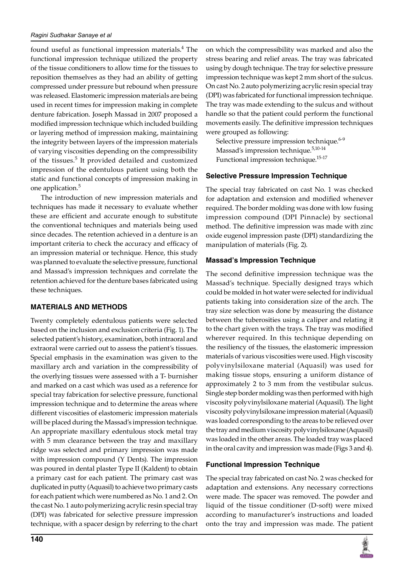found useful as functional impression materials.<sup>4</sup> The functional impression technique utilized the property of the tissue conditioners to allow time for the tissues to reposition themselves as they had an ability of getting compressed under pressure but rebound when pressure was released. Elastomeric impression materials are being used in recent times for impression making in complete denture fabrication. Joseph Massad in 2007 proposed a modified impression technique which included building or layering method of impression making, maintaining the integrity between layers of the impression materials of varying viscosities depending on the compressibility of the tissues.<sup>5</sup> It provided detailed and customized impression of the edentulous patient using both the static and functional concepts of impression making in one application.<sup>5</sup>

The introduction of new impression materials and techniques has made it necessary to evaluate whether these are efficient and accurate enough to substitute the conventional techniques and materials being used since decades. The retention achieved in a denture is an important criteria to check the accuracy and efficacy of an impression material or technique. Hence, this study was planned to evaluate the selective pressure, functional and Massad's impression techniques and correlate the retention achieved for the denture bases fabricated using these techniques.

## **MATERIALS AND METHoDS**

Twenty completely edentulous patients were selected based on the inclusion and exclusion criteria (Fig. 1). The selected patient's history, examination, both intraoral and extraoral were carried out to assess the patient's tissues. Special emphasis in the examination was given to the maxillary arch and variation in the compressibility of the overlying tissues were assessed with a T- burnisher and marked on a cast which was used as a reference for special tray fabrication for selective pressure, functional impression technique and to determine the areas where different viscosities of elastomeric impression materials will be placed during the Massad's impression technique. An appropriate maxillary edentulous stock metal tray with 5 mm clearance between the tray and maxillary ridge was selected and primary impression was made with impression compound (Y Dents). The impression was poured in dental plaster Type II (Kaldent) to obtain a primary cast for each patient. The primary cast was duplicated in putty (Aquasil) to achieve two primary casts for each patient which were numbered as No. 1 and 2. On the cast No. 1 auto polymerizing acrylic resin special tray (DPI) was fabricated for selective pressure impression technique, with a spacer design by referring to the chart on which the compressibility was marked and also the stress bearing and relief areas. The tray was fabricated using by dough technique. The tray for selective pressure impression technique was kept 2 mm short of the sulcus. On cast No. 2 auto polymerizing acrylic resin special tray (DPI) was fabricated for functional impression technique. The tray was made extending to the sulcus and without handle so that the patient could perform the functional movements easily. The definitive impression techniques were grouped as following:

Selective pressure impression technique.<sup>6-9</sup> Massad's impression technique.5,10-14 Functional impression technique.15-17

# **Selective Pressure Impression Technique**

The special tray fabricated on cast No. 1 was checked for adaptation and extension and modified whenever required. The border molding was done with low fusing impression compound (DPI Pinnacle) by sectional method. The definitive impression was made with zinc oxide eugenol impression paste (DPI) standardizing the manipulation of materials (Fig. 2).

# **Massad's Impression Technique**

The second definitive impression technique was the Massad's technique. Specially designed trays which could be molded in hot water were selected for individual patients taking into consideration size of the arch. The tray size selection was done by measuring the distance between the tuberosities using a caliper and relating it to the chart given with the trays. The tray was modified wherever required. In this technique depending on the resiliency of the tissues, the elastomeric impression materials of various viscosities were used. High viscosity polyvinylsiloxane material (Aquasil) was used for making tissue stops, ensuring a uniform distance of approximately 2 to 3 mm from the vestibular sulcus. Single step border molding was then performed with high viscosity polyvinylsiloxane material (Aquasil). The light viscosity polyvinylsiloxane impression material (Aquasil) was loaded corresponding to the areas to be relieved over the tray and medium viscosity polyvinylsiloxane (Aquasil) was loaded in the other areas. The loaded tray was placed in the oral cavity and impression was made (Figs 3 and 4).

# **Functional Impression Technique**

The special tray fabricated on cast No. 2 was checked for adaptation and extensions. Any necessary corrections were made. The spacer was removed. The powder and liquid of the tissue conditioner (D-soft) were mixed according to manufacturer's instructions and loaded onto the tray and impression was made. The patient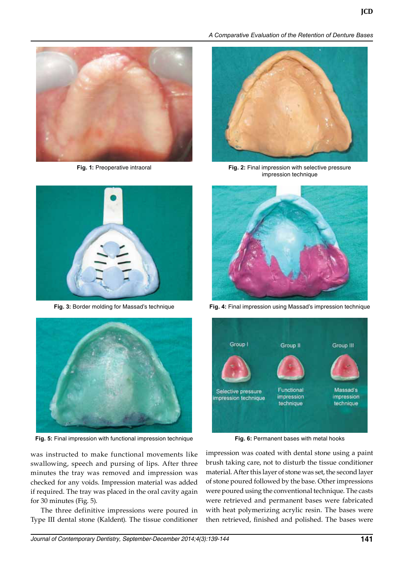





**Fig. 5:** Final impression with functional impression technique **Fig. 6:** Permanent bases with metal hooks

was instructed to make functional movements like swallowing, speech and pursing of lips. After three minutes the tray was removed and impression was checked for any voids. Impression material was added if required. The tray was placed in the oral cavity again for 30 minutes (Fig. 5).

The three definitive impressions were poured in Type III dental stone (Kaldent). The tissue conditioner

*A Comparative Evaluation of the Retention of Denture Bases* 



**Fig. 1:** Preoperative intraoral **Fig. 2:** Final impression with selective pressure impression technique



**Fig. 3:** Border molding for Massad's technique **Fig. 4:** Final impression using Massad's impression technique



impression was coated with dental stone using a paint brush taking care, not to disturb the tissue conditioner material. After this layer of stone was set, the second layer of stone poured followed by the base. Other impressions were poured using the conventional technique. The casts were retrieved and permanent bases were fabricated with heat polymerizing acrylic resin. The bases were then retrieved, finished and polished. The bases were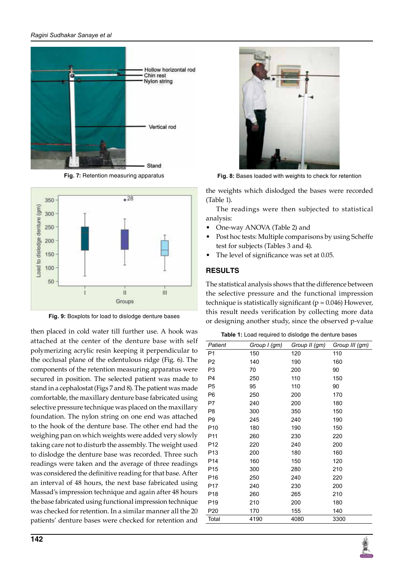#### *Ragini Sudhakar Sanaye et al*





**Fig. 9:** Boxplots for load to dislodge denture bases

then placed in cold water till further use. A hook was attached at the center of the denture base with self polymerizing acrylic resin keeping it perpendicular to the occlusal plane of the edentulous ridge (Fig. 6). The components of the retention measuring apparatus were secured in position. The selected patient was made to stand in a cephalostat (Figs 7 and 8). The patient was made comfortable, the maxillary denture base fabricated using selective pressure technique was placed on the maxillary foundation. The nylon string on one end was attached to the hook of the denture base. The other end had the weighing pan on which weights were added very slowly taking care not to disturb the assembly. The weight used to dislodge the denture base was recorded. Three such readings were taken and the average of three readings was considered the definitive reading for that base. After an interval of 48 hours, the next base fabricated using Massad's impression technique and again after 48 hours the base fabricated using functional impression technique was checked for retention. In a similar manner all the 20 patients' denture bases were checked for retention and



**Fig. 7:** Retention measuring apparatus **Fig. 8:** Bases loaded with weights to check for retention

the weights which dislodged the bases were recorded (Table 1).

The readings were then subjected to statistical analysis:

- One-way ANOVA (Table 2) and
- Post hoc tests: Multiple comparisons by using Scheffe test for subjects (Tables 3 and 4).
- The level of significance was set at 0.05.

# **RESuLTS**

The statistical analysis shows that the difference between the selective pressure and the functional impression technique is statistically significant ( $p = 0.046$ ) However, this result needs verification by collecting more data or designing another study, since the observed p-value

| <b>Table 1:</b> Load required to dislodge the denture bases |  |  |
|-------------------------------------------------------------|--|--|

| Patient         | Group I (gm) | Group II (gm) | Group III (gm) |
|-----------------|--------------|---------------|----------------|
| P <sub>1</sub>  | 150          | 120           | 110            |
| P <sub>2</sub>  | 140          | 190           | 160            |
| P <sub>3</sub>  | 70           | 200           | 90             |
| P4              | 250          | 110           | 150            |
| P <sub>5</sub>  | 95           | 110           | 90             |
| P <sub>6</sub>  | 250          | 200           | 170            |
| P7              | 240          | 200           | 180            |
| P <sub>8</sub>  | 300          | 350           | 150            |
| P <sub>9</sub>  | 245          | 240           | 190            |
| P <sub>10</sub> | 180          | 190           | 150            |
| P <sub>11</sub> | 260          | 230           | 220            |
| P <sub>12</sub> | 220          | 240           | 200            |
| P <sub>13</sub> | 200          | 180           | 160            |
| P <sub>14</sub> | 160          | 150           | 120            |
| P <sub>15</sub> | 300          | 280           | 210            |
| P <sub>16</sub> | 250          | 240           | 220            |
| P <sub>17</sub> | 240          | 230           | 200            |
| P <sub>18</sub> | 260          | 265           | 210            |
| P <sub>19</sub> | 210          | 200           | 180            |
| P <sub>20</sub> | 170          | 155           | 140            |
| Total           | 4190         | 4080          | 3300           |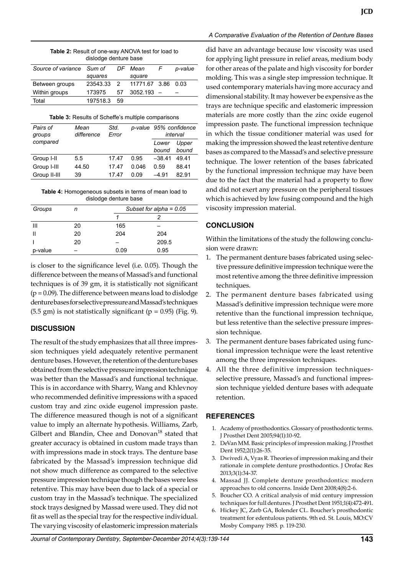| <b>Table 2:</b> Result of one-way ANOVA test for load to |
|----------------------------------------------------------|
| dislodge denture base                                    |

| Source of variance Sum of |          |           | DF Mean            | F | p-value |
|---------------------------|----------|-----------|--------------------|---|---------|
|                           | squares  |           | square             |   |         |
| Between groups            | 23543.33 | $\cdot$ 2 | 11771.67 3.86 0.03 |   |         |
| Within groups             | 173975   | 57        | $3052.193 -$       |   |         |
| Total                     | 197518.3 | 59        |                    |   |         |

|  |  | Table 3: Results of Scheffe's multiple comparisons |  |  |
|--|--|----------------------------------------------------|--|--|
|  |  |                                                    |  |  |

| Pairs of<br>groups | Mean<br>difference | Std.<br>Error |       | p-value 95% confidence<br>interval |       |
|--------------------|--------------------|---------------|-------|------------------------------------|-------|
| compared           |                    |               |       | Lower                              | Upper |
|                    |                    |               |       | bound                              | bound |
| Group I-II         | 5.5                | 17.47         | 0.95  | $-38.41$                           | 49.41 |
| Group I-III        | 44.50              | 17.47         | 0.046 | 0.59                               | 88.41 |
| Group II-III       | 39                 | 17.47         | 0.09  | $-4.91$                            | 82.91 |

**Table 4:** Homogeneous subsets in terms of mean load to dislodge denture base

| Groups  | n  |      | Subset for alpha = $0.05$ |  |  |
|---------|----|------|---------------------------|--|--|
|         |    |      |                           |  |  |
| Ш       | 20 | 165  |                           |  |  |
|         | 20 | 204  | 204                       |  |  |
|         | 20 |      | 209.5                     |  |  |
| p-value | -  | 0.09 | 0.95                      |  |  |

is closer to the significance level (i.e. 0.05). Though the difference between the means of Massad's and functional techniques is of 39 gm, it is statistically not significant  $(p = 0.09)$ . The difference between means load to dislodge denture bases for selective pressure and Massad's techniques  $(5.5 \text{ gm})$  is not statistically significant  $(p = 0.95)$  (Fig. 9).

## **DISCuSSIoN**

The result of the study emphasizes that all three impression techniques yield adequately retentive permanent denture bases. However, the retention of the denture bases obtained from the selective pressure impression technique was better than the Massad's and functional technique. This is in accordance with Sharry, Wang and Khlevnoy who recommended definitive impressions with a spaced custom tray and zinc oxide eugenol impression paste. The difference measured though is not of a significant value to imply an alternate hypothesis. Williams, Zarb, Gilbert and Blandin, Chee and Donovan<sup>18</sup> stated that greater accuracy is obtained in custom made trays than with impressions made in stock trays. The denture base fabricated by the Massad's impression technique did not show much difference as compared to the selective pressure impression technique though the bases were less retentive. This may have been due to lack of a special or custom tray in the Massad's technique. The specialized stock trays designed by Massad were used. They did not fit as well as the special tray for the respective individual. The varying viscosity of elastomeric impression materials

#### *A Comparative Evaluation of the Retention of Denture Bases*

did have an advantage because low viscosity was used for applying light pressure in relief areas, medium body for other areas of the palate and high viscosity for border molding. This was a single step impression technique. It used contemporary materials having more accuracy and dimensional stability. It may however be expensive as the trays are technique specific and elastomeric impression materials are more costly than the zinc oxide eugenol impression paste. The functional impression technique in which the tissue conditioner material was used for making the impression showed the least retentive denture bases as compared to the Massad's and selective pressure technique. The lower retention of the bases fabricated by the functional impression technique may have been due to the fact that the material had a property to flow and did not exert any pressure on the peripheral tissues which is achieved by low fusing compound and the high viscosity impression material.

## **CoNCLuSIoN**

Within the limitations of the study the following conclusion were drawn:

- 1. The permanent denture bases fabricated using selective pressure definitive impression technique were the most retentive among the three definitive impression techniques.
- 2. The permanent denture bases fabricated using Massad's definitive impression technique were more retentive than the functional impression technique, but less retentive than the selective pressure impression technique.
- 3. The permanent denture bases fabricated using functional impression technique were the least retentive among the three impression techniques.
- 4. All the three definitive impression techniquesselective pressure, Massad's and functional impression technique yielded denture bases with adequate retention.

## **REFERENCES**

- 1. Academy of prosthodontics. Glossary of prosthodontic terms. J Prosthet Dent 2005;94(1):10-92.
- 2. DeVan MM. Basic principles of impression making. J Prosthet Dent 1952;2(1):26-35.
- 3. Dwivedi A, Vyas R. Theories of impression making and their rationale in complete denture prosthodontics. J Orofac Res 2013;3(1):34-37.
- 4. Massad JJ. Complete denture prosthodontics: modern approaches to old concerns. Inside Dent 2008;4(8):2-6.
- 5. Boucher CO. A critical analysis of mid century impression techniques for full dentures. J Prosthet Dent 1951;1(4):472-491.
- 6. Hickey JC, Zarb GA, Bolender CL. Boucher's prosthodontic treatment for edentulous patients. 9th ed. St. Louis, MO:CV Mosby Company 1985. p. 119-230.